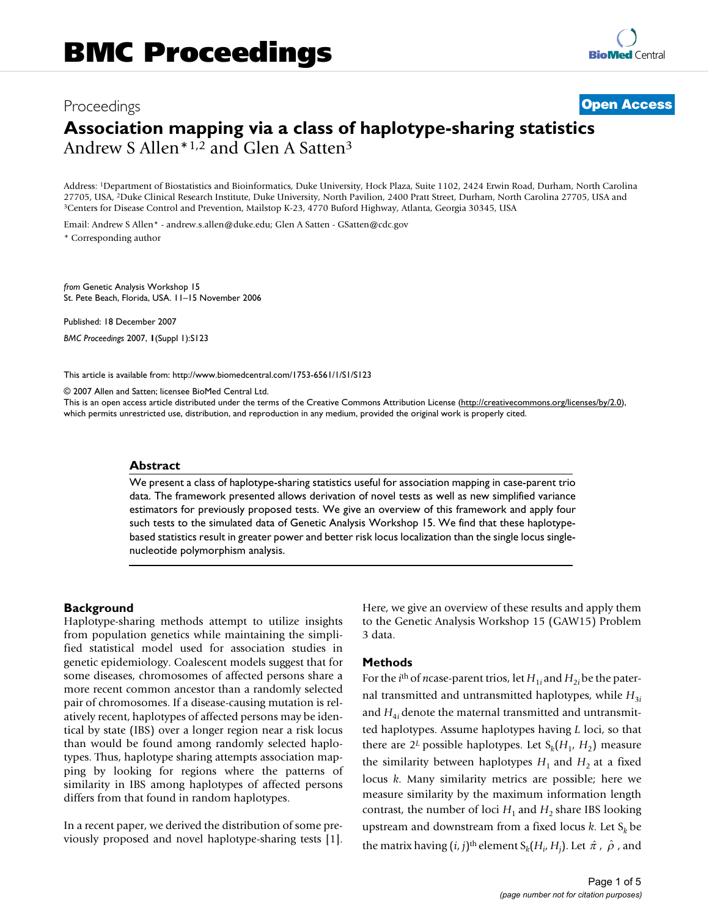# Proceedings **[Open Access](http://www.biomedcentral.com/info/about/charter/) Association mapping via a class of haplotype-sharing statistics** Andrew S Allen\*1,2 and Glen A Satten3

Address: 1Department of Biostatistics and Bioinformatics, Duke University, Hock Plaza, Suite 1102, 2424 Erwin Road, Durham, North Carolina 27705, USA, <sup>2</sup>Duke Clinical Research Institute, Duke University, North Pavilion, 2400 Pratt Street, Durham, North Carolina 27705, USA and <sup>3</sup>Centers for Disease Control and Prevention, Mailstop K-23, 4770 Buford Highway,

Email: Andrew S Allen\* - andrew.s.allen@duke.edu; Glen A Satten - GSatten@cdc.gov

\* Corresponding author

*from* Genetic Analysis Workshop 15 St. Pete Beach, Florida, USA. 11–15 November 2006

Published: 18 December 2007

*BMC Proceedings* 2007, **1**(Suppl 1):S123

[This article is available from: http://www.biomedcentral.com/1753-6561/1/S1/S123](http://www.biomedcentral.com/1753-6561/1/S1/S123)

© 2007 Allen and Satten; licensee BioMed Central Ltd.

This is an open access article distributed under the terms of the Creative Commons Attribution License [\(http://creativecommons.org/licenses/by/2.0\)](http://creativecommons.org/licenses/by/2.0), which permits unrestricted use, distribution, and reproduction in any medium, provided the original work is properly cited.

## **Abstract**

We present a class of haplotype-sharing statistics useful for association mapping in case-parent trio data. The framework presented allows derivation of novel tests as well as new simplified variance estimators for previously proposed tests. We give an overview of this framework and apply four such tests to the simulated data of Genetic Analysis Workshop 15. We find that these haplotypebased statistics result in greater power and better risk locus localization than the single locus singlenucleotide polymorphism analysis.

# **Background**

Haplotype-sharing methods attempt to utilize insights from population genetics while maintaining the simplified statistical model used for association studies in genetic epidemiology. Coalescent models suggest that for some diseases, chromosomes of affected persons share a more recent common ancestor than a randomly selected pair of chromosomes. If a disease-causing mutation is relatively recent, haplotypes of affected persons may be identical by state (IBS) over a longer region near a risk locus than would be found among randomly selected haplotypes. Thus, haplotype sharing attempts association mapping by looking for regions where the patterns of similarity in IBS among haplotypes of affected persons differs from that found in random haplotypes.

In a recent paper, we derived the distribution of some previously proposed and novel haplotype-sharing tests [1]. Here, we give an overview of these results and apply them to the Genetic Analysis Workshop 15 (GAW15) Problem 3 data.

# **Methods**

For the *i*<sup>th</sup> of *n*case-parent trios, let  $H_{1i}$  and  $H_{2i}$  be the paternal transmitted and untransmitted haplotypes, while  $H_{3i}$ and  $H_{4i}$  denote the maternal transmitted and untransmitted haplotypes. Assume haplotypes having *L* loci, so that there are  $2^L$  possible haplotypes. Let  $S_k(H_1, H_2)$  measure the similarity between haplotypes  $H_1$  and  $H_2$  at a fixed locus *k*. Many similarity metrics are possible; here we measure similarity by the maximum information length contrast, the number of loci  $H_1$  and  $H_2$  share IBS looking upstream and downstream from a fixed locus  $k$ . Let  $S_k$  be the matrix having  $(i, j)$ <sup>th</sup> element  $S_k(H_i, H_j)$ . Let  $\hat{\pi}$  ,  $\hat{\rho}$  , and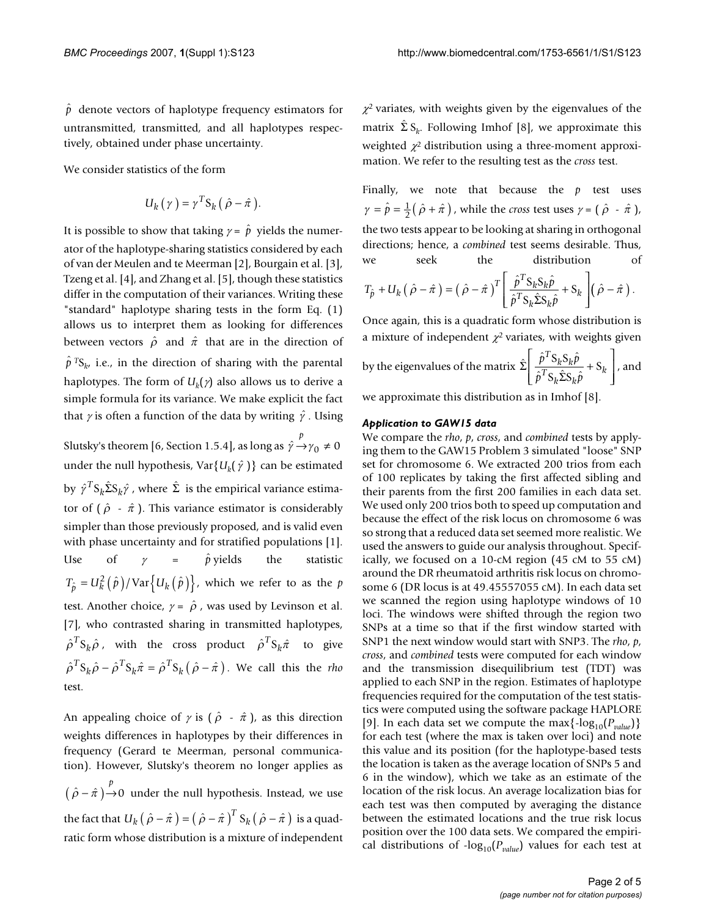$\hat{p}$  denote vectors of haplotype frequency estimators for untransmitted, transmitted, and all haplotypes respectively, obtained under phase uncertainty.

We consider statistics of the form

$$
U_k(\gamma) = \gamma^T S_k(\hat{\rho} - \hat{\pi}).
$$

It is possible to show that taking  $\gamma = \hat{p}$  yields the numerator of the haplotype-sharing statistics considered by each of van der Meulen and te Meerman [2], Bourgain et al. [3], Tzeng et al. [4], and Zhang et al. [5], though these statistics differ in the computation of their variances. Writing these "standard" haplotype sharing tests in the form Eq. (1) allows us to interpret them as looking for differences between vectors  $\hat{\rho}$  and  $\hat{\pi}$  that are in the direction of  $\hat{p}$ <sup> $T$ </sup>S<sub>k</sub>, i.e., in the direction of sharing with the parental haplotypes. The form of  $U_k(\gamma)$  also allows us to derive a simple formula for its variance. We make explicit the fact that  $\gamma$  is often a function of the data by writing  $\hat{\gamma}$  . Using

Slutsky's theorem [6, Section 1.5.4], as long as  $\hat{\gamma}^p \rightarrow \gamma_0 \neq 0$ under the null hypothesis,  $\text{Var}\{U_k(\hat{y})\}$  can be estimated by  $\hat{\gamma}^T \mathbf{S}_k \hat{\Sigma} \mathbf{S}_k \hat{\gamma}$  , where  $\hat{\Sigma}$  is the empirical variance estimator of  $(\hat{\rho} - \hat{\pi})$ . This variance estimator is considerably simpler than those previously proposed, and is valid even with phase uncertainty and for stratified populations [1]. Use of  $\gamma = \hat{p}$  yields the statistic  $T_{\hat{p}} = U_k^2(\hat{p})/\text{Var}\big\{U_k(\hat{p})\big\}$ , which we refer to as the  $p$ test. Another choice,  $\gamma = \hat{\rho}$ , was used by Levinson et al. [7], who contrasted sharing in transmitted haplotypes,  $\hat{\rho}^T \mathbf{S}_k \hat{\rho}$  , with the cross product  $\hat{\rho}^T \mathbf{S}_k \hat{\pi}$  to give  $\hat{\rho}^T \mathbf{S}_k \hat{\rho} - \hat{\rho}^T \mathbf{S}_k \hat{\pi} = \hat{\rho}^T \mathbf{S}_k (\hat{\rho} - \hat{\pi})$ . We call this the *rho* test.  $_0 \neq 0$ 

An appealing choice of  $\gamma$  is (  $\hat{\rho}$  -  $\hat{\pi}$  ), as this direction weights differences in haplotypes by their differences in frequency (Gerard te Meerman, personal communication). However, Slutsky's theorem no longer applies as  $(\hat{\rho} - \hat{\pi}) \rightarrow 0$  under the null hypothesis. Instead, we use the fact that  $U_k \big(\hat \rho - \hat \pi\,\big) = \big(\, \hat \rho - \hat \pi\,\big)^T\,\mathrm{S}_k \big(\, \hat \rho - \hat \pi\,\big)$  is a quadratic form whose distribution is a mixture of independent 0

 $\chi^2$  variates, with weights given by the eigenvalues of the matrix  $\hat{\Sigma} S_k$ . Following Imhof [8], we approximate this weighted  $\chi^2$  distribution using a three-moment approximation. We refer to the resulting test as the *cross* test.

Finally, we note that because the  $p$  test uses  $\gamma = \hat{p} = \frac{1}{2}(\hat{p} + \hat{\pi})$ , while the *cross* test uses  $\gamma = (\hat{p} - \hat{\pi})$ , the two tests appear to be looking at sharing in orthogonal directions; hence, a *combined* test seems desirable. Thus, we seek the distribution of

$$
T_{\hat{p}} + U_k (\hat{\rho} - \hat{\pi}) = (\hat{\rho} - \hat{\pi})^T \left[ \frac{\hat{p}^T S_k S_k \hat{p}}{\hat{p}^T S_k \hat{\Sigma} S_k \hat{p}} + S_k \right] (\hat{\rho} - \hat{\pi}).
$$

Once again, this is a quadratic form whose distribution is a mixture of independent  $\chi^2$  variates, with weights given

by the eigenvalues of the matrix 
$$
\hat{\Sigma} \left[ \frac{\hat{p}^T S_k S_k \hat{p}}{\hat{p}^T S_k \hat{\Sigma} S_k \hat{p}} + S_k \right]
$$
, and

we approximate this distribution as in Imhof [8].

## *Application to GAW15 data*

We compare the *rho*, *p*, *cross*, and *combined* tests by applying them to the GAW15 Problem 3 simulated "loose" SNP set for chromosome 6. We extracted 200 trios from each of 100 replicates by taking the first affected sibling and their parents from the first 200 families in each data set. We used only 200 trios both to speed up computation and because the effect of the risk locus on chromosome 6 was so strong that a reduced data set seemed more realistic. We used the answers to guide our analysis throughout. Specifically, we focused on a 10-cM region (45 cM to 55 cM) around the DR rheumatoid arthritis risk locus on chromosome 6 (DR locus is at 49.45557055 cM). In each data set we scanned the region using haplotype windows of 10 loci. The windows were shifted through the region two SNPs at a time so that if the first window started with SNP1 the next window would start with SNP3. The *rho*, *p*, *cross*, and *combined* tests were computed for each window and the transmission disequilibrium test (TDT) was applied to each SNP in the region. Estimates of haplotype frequencies required for the computation of the test statistics were computed using the software package HAPLORE [9]. In each data set we compute the max $\{-\log_{10}(P_{value})\}$ for each test (where the max is taken over loci) and note this value and its position (for the haplotype-based tests the location is taken as the average location of SNPs 5 and 6 in the window), which we take as an estimate of the location of the risk locus. An average localization bias for each test was then computed by averaging the distance between the estimated locations and the true risk locus position over the 100 data sets. We compared the empirical distributions of  $-\log_{10}(P_{value})$  values for each test at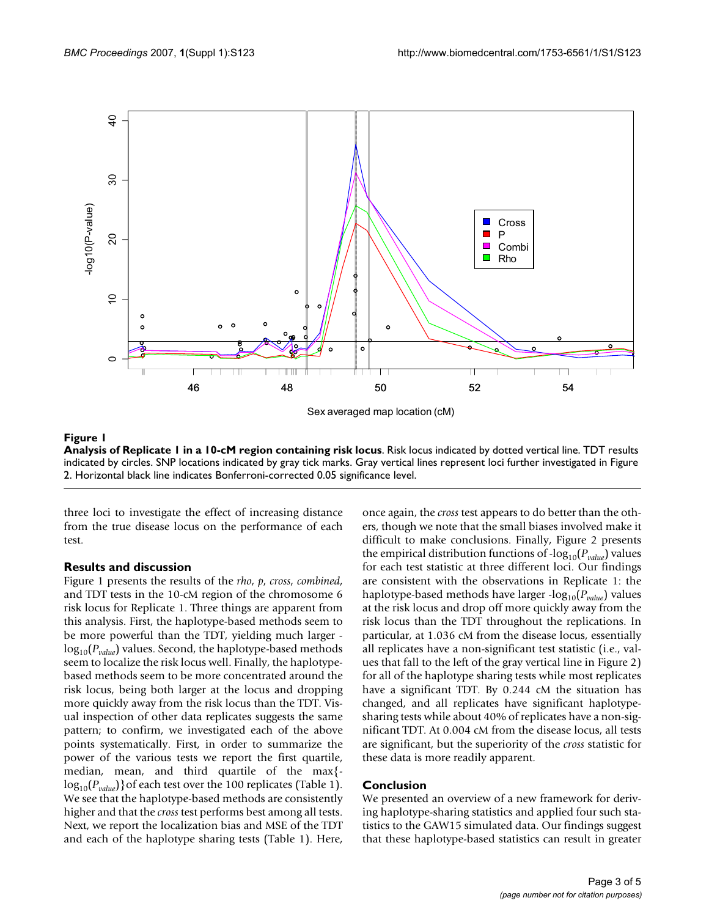

# Figure 1

**Analysis of Replicate 1 in a 10-cM region containing risk locus**. Risk locus indicated by dotted vertical line. TDT results indicated by circles. SNP locations indicated by gray tick marks. Gray vertical lines represent loci further investigated in Figure

three loci to investigate the effect of increasing distance from the true disease locus on the performance of each test.

# **Results and discussion**

Figure 1 presents the results of the *rho*, *p*, *cross*, *combined*, and TDT tests in the 10-cM region of the chromosome 6 risk locus for Replicate 1. Three things are apparent from this analysis. First, the haplotype-based methods seem to be more powerful than the TDT, yielding much larger log<sub>10</sub>( $P_{value}$ ) values. Second, the haplotype-based methods seem to localize the risk locus well. Finally, the haplotypebased methods seem to be more concentrated around the risk locus, being both larger at the locus and dropping more quickly away from the risk locus than the TDT. Visual inspection of other data replicates suggests the same pattern; to confirm, we investigated each of the above points systematically. First, in order to summarize the power of the various tests we report the first quartile, median, mean, and third quartile of the max{ log<sub>10</sub>( $P_{value}$ )}of each test over the 100 replicates (Table 1). We see that the haplotype-based methods are consistently higher and that the *cross* test performs best among all tests. Next, we report the localization bias and MSE of the TDT and each of the haplotype sharing tests (Table 1). Here,

once again, the *cross* test appears to do better than the others, though we note that the small biases involved make it difficult to make conclusions. Finally, Figure 2 presents the empirical distribution functions of  $-log_{10}(P_{value})$  values for each test statistic at three different loci. Our findings are consistent with the observations in Replicate 1: the haplotype-based methods have larger -log<sub>10</sub>( $P_{value}$ ) values at the risk locus and drop off more quickly away from the risk locus than the TDT throughout the replications. In particular, at 1.036 cM from the disease locus, essentially all replicates have a non-significant test statistic (i.e., values that fall to the left of the gray vertical line in Figure 2) for all of the haplotype sharing tests while most replicates have a significant TDT. By 0.244 cM the situation has changed, and all replicates have significant haplotypesharing tests while about 40% of replicates have a non-significant TDT. At 0.004 cM from the disease locus, all tests are significant, but the superiority of the *cross* statistic for these data is more readily apparent.

# **Conclusion**

We presented an overview of a new framework for deriving haplotype-sharing statistics and applied four such statistics to the GAW15 simulated data. Our findings suggest that these haplotype-based statistics can result in greater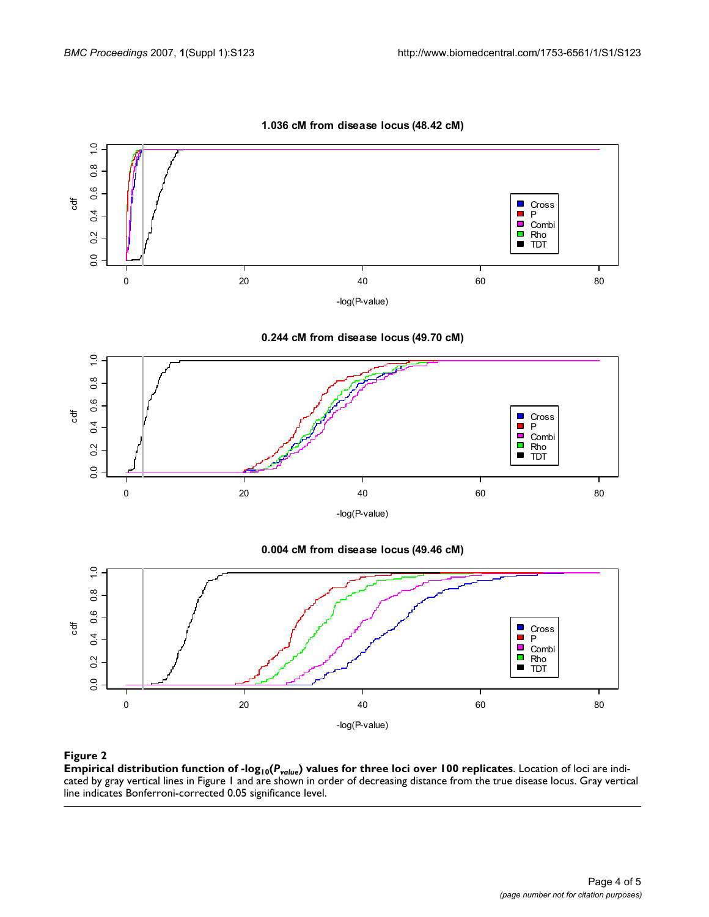

**1.036 cM from disease locus (48.42 cM)**

Empirical distribution function of -log10(*Pvalue* **Figure 2** ) values for three loci over 100 replicates **Empirical distribution function of -log10(***Pvalue***) values for three loci over 100 replicates**. Location of loci are indicated by gray vertical lines in Figure 1 and are shown in order of decreasing distance from the true disease locus. Gray vertical line indicates Bonferroni-corrected 0.05 significance level.